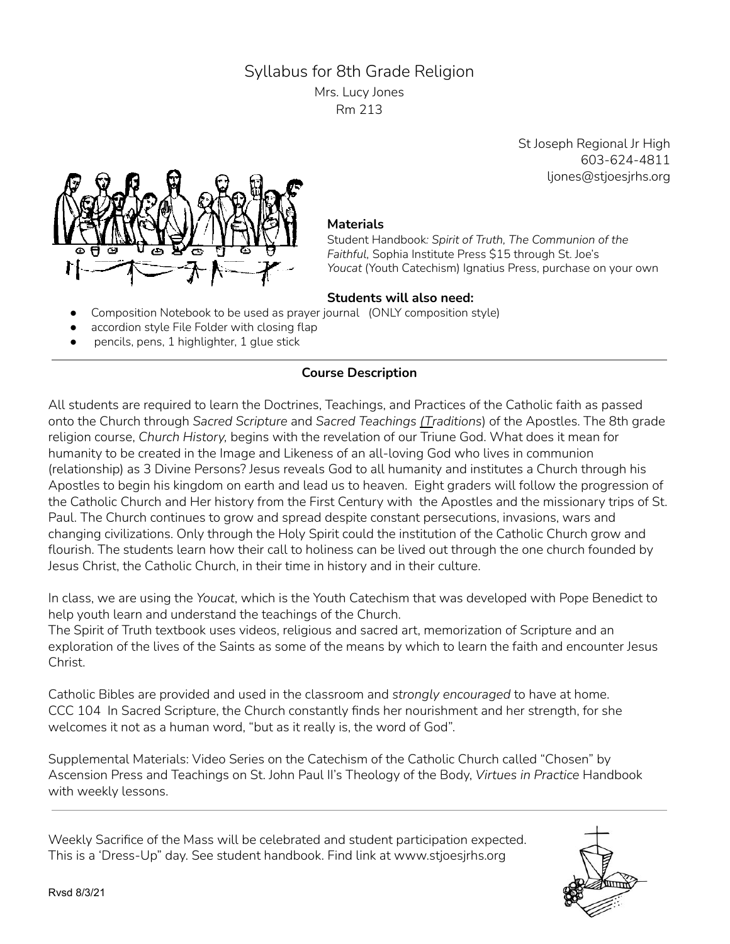# Syllabus for 8th Grade Religion

Mrs. Lucy Jones Rm 213

> St Joseph Regional Jr High 603-624-4811 ljones@stjoesjrhs.org



#### **Materials**

Student Handbook*: Spirit of Truth, The Communion of the Faithful,* Sophia Institute Press \$15 through St. Joe's *Youcat* (Youth Catechism) Ignatius Press, purchase on your own

#### **Students will also need:**

- Composition Notebook to be used as prayer journal (ONLY composition style)
- accordion style File Folder with closing flap
- pencils, pens, 1 highlighter, 1 glue stick

## **Course Description**

All students are required to learn the Doctrines, Teachings, and Practices of the Catholic faith as passed onto the Church through *Sacred Scripture* and *Sacred Teachings (Traditions*) of the Apostles. The 8th grade religion course, *Church History,* begins with the revelation of our Triune God. What does it mean for humanity to be created in the Image and Likeness of an all-loving God who lives in communion (relationship) as 3 Divine Persons? Jesus reveals God to all humanity and institutes a Church through his Apostles to begin his kingdom on earth and lead us to heaven. Eight graders will follow the progression of the Catholic Church and Her history from the First Century with the Apostles and the missionary trips of St. Paul. The Church continues to grow and spread despite constant persecutions, invasions, wars and changing civilizations. Only through the Holy Spirit could the institution of the Catholic Church grow and flourish. The students learn how their call to holiness can be lived out through the one church founded by Jesus Christ, the Catholic Church, in their time in history and in their culture.

In class, we are using the *Youcat*, which is the Youth Catechism that was developed with Pope Benedict to help youth learn and understand the teachings of the Church.

The Spirit of Truth textbook uses videos, religious and sacred art, memorization of Scripture and an exploration of the lives of the Saints as some of the means by which to learn the faith and encounter Jesus Christ.

Catholic Bibles are provided and used in the classroom and *strongly encouraged* to have at home. CCC 104 In Sacred Scripture, the Church constantly finds her nourishment and her strength, for she welcomes it not as a human word, "but as it really is, the word of God".

Supplemental Materials: Video Series on the Catechism of the Catholic Church called "Chosen" by Ascension Press and Teachings on St. John Paul II's Theology of the Body, *Virtues in Practice* Handbook with weekly lessons.

Weekly Sacrifice of the Mass will be celebrated and student participation expected. This is a 'Dress-Up" day. See student handbook. Find link at www.stjoesjrhs.org

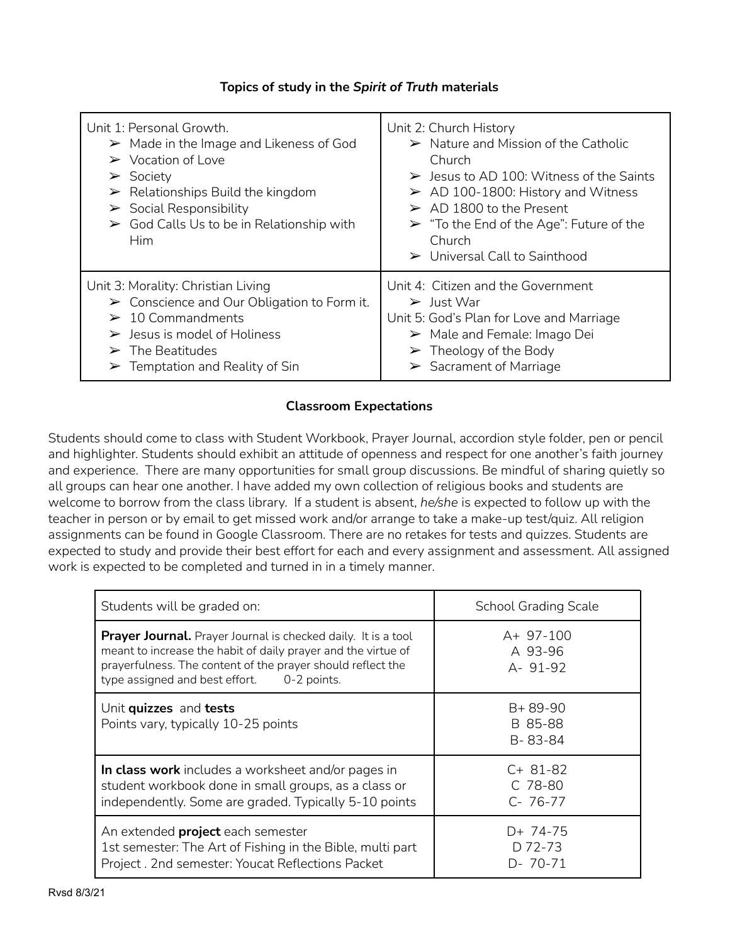### **Topics of study in the** *Spirit of Truth* **materials**

| Unit 1: Personal Growth.<br>$\triangleright$ Made in the Image and Likeness of God<br>$\triangleright$ Vocation of Love<br>$\triangleright$ Society<br>$\triangleright$ Relationships Build the kingdom<br>$\triangleright$ Social Responsibility<br>$\triangleright$ God Calls Us to be in Relationship with<br><b>Him</b> | Unit 2: Church History<br>$\triangleright$ Nature and Mission of the Catholic<br>Church<br>$\triangleright$ Jesus to AD 100: Witness of the Saints<br>$\triangleright$ AD 100-1800: History and Witness<br>$\triangleright$ AD 1800 to the Present<br>$\triangleright$ "To the End of the Age": Future of the<br>Church<br>$\triangleright$ Universal Call to Sainthood |
|-----------------------------------------------------------------------------------------------------------------------------------------------------------------------------------------------------------------------------------------------------------------------------------------------------------------------------|-------------------------------------------------------------------------------------------------------------------------------------------------------------------------------------------------------------------------------------------------------------------------------------------------------------------------------------------------------------------------|
| Unit 3: Morality: Christian Living                                                                                                                                                                                                                                                                                          | Unit 4: Citizen and the Government                                                                                                                                                                                                                                                                                                                                      |
| $\triangleright$ Conscience and Our Obligation to Form it.                                                                                                                                                                                                                                                                  | $\triangleright$ Just War                                                                                                                                                                                                                                                                                                                                               |
| $\geq 10$ Commandments                                                                                                                                                                                                                                                                                                      | Unit 5: God's Plan for Love and Marriage                                                                                                                                                                                                                                                                                                                                |
| $\triangleright$ Jesus is model of Holiness                                                                                                                                                                                                                                                                                 | $\triangleright$ Male and Female: Imago Dei                                                                                                                                                                                                                                                                                                                             |
| $\triangleright$ The Beatitudes                                                                                                                                                                                                                                                                                             | $\triangleright$ Theology of the Body                                                                                                                                                                                                                                                                                                                                   |
| $\triangleright$ Temptation and Reality of Sin                                                                                                                                                                                                                                                                              | $\triangleright$ Sacrament of Marriage                                                                                                                                                                                                                                                                                                                                  |

### **Classroom Expectations**

Students should come to class with Student Workbook, Prayer Journal, accordion style folder, pen or pencil and highlighter. Students should exhibit an attitude of openness and respect for one another's faith journey and experience. There are many opportunities for small group discussions. Be mindful of sharing quietly so all groups can hear one another. I have added my own collection of religious books and students are welcome to borrow from the class library. If a student is absent, *he/she* is expected to follow up with the teacher in person or by email to get missed work and/or arrange to take a make-up test/quiz. All religion assignments can be found in Google Classroom. There are no retakes for tests and quizzes. Students are expected to study and provide their best effort for each and every assignment and assessment. All assigned work is expected to be completed and turned in in a timely manner.

| Students will be graded on:                                                                                                                                                                                                                        | <b>School Grading Scale</b>             |
|----------------------------------------------------------------------------------------------------------------------------------------------------------------------------------------------------------------------------------------------------|-----------------------------------------|
| <b>Prayer Journal.</b> Prayer Journal is checked daily. It is a tool<br>meant to increase the habit of daily prayer and the virtue of<br>prayerfulness. The content of the prayer should reflect the<br>type assigned and best effort. 0-2 points. | $A+97-100$<br>A 93-96<br>A- 91-92       |
| Unit quizzes and tests<br>Points vary, typically 10-25 points                                                                                                                                                                                      | $B + 89 - 90$<br>B 85-88<br>B-83-84     |
| In class work includes a worksheet and/or pages in<br>student workbook done in small groups, as a class or<br>independently. Some are graded. Typically 5-10 points                                                                                | $C+81-82$<br>$C$ 78-80<br>$C - 76 - 77$ |
| An extended <b>project</b> each semester<br>1st semester: The Art of Fishing in the Bible, multi part<br>Project. 2nd semester: Youcat Reflections Packet                                                                                          | D+ 74-75<br>D 72-73<br>$D - 70 - 71$    |